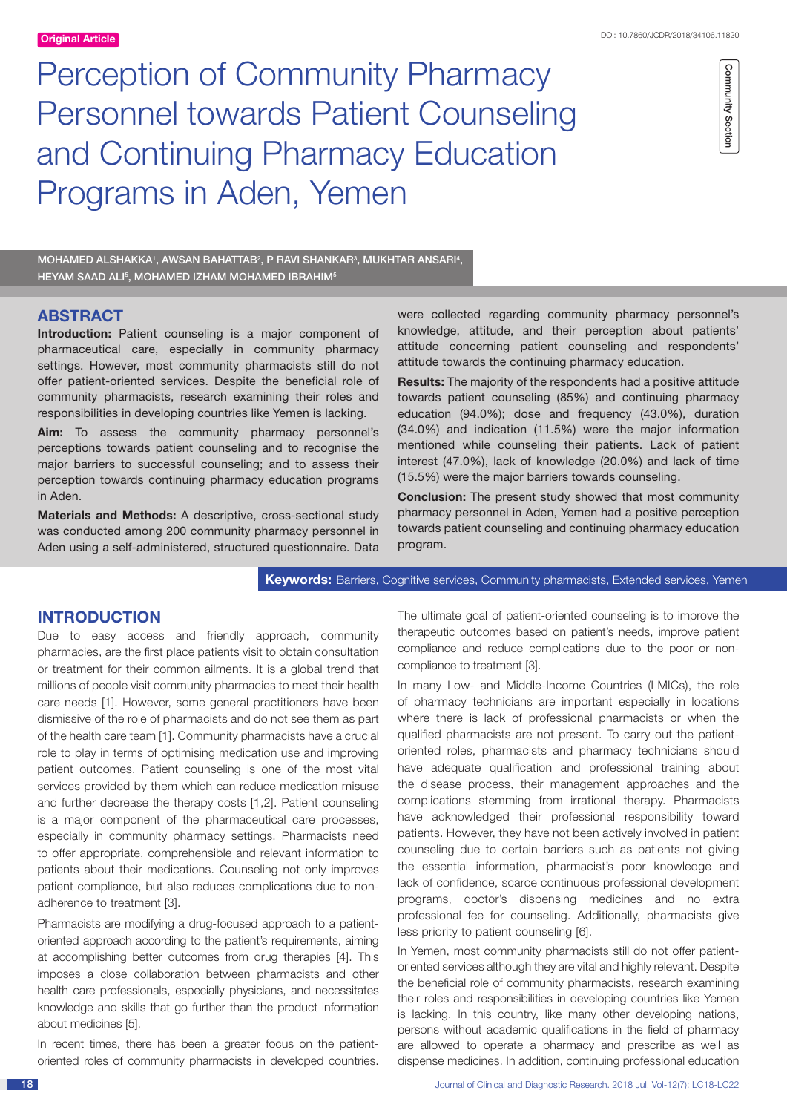Community Section Community Section

Perception of Community Pharmacy Personnel towards Patient Counseling and Continuing Pharmacy Education Programs in Aden, Yemen

MOHAMED ALSHAKKA1, AWSAN BAHATTAB<sup>2</sup>, P RAVI SHANKAR<sup>3</sup>, MUKHTAR ANSARI<del>1</del>, HEYAM SAAD ALI5, MOHAMED IZHAM MOHAMED IBRAHIM5

## **ABSTRACT**

**Introduction:** Patient counseling is a major component of pharmaceutical care, especially in community pharmacy settings. However, most community pharmacists still do not offer patient-oriented services. Despite the beneficial role of community pharmacists, research examining their roles and responsibilities in developing countries like Yemen is lacking.

**Aim:** To assess the community pharmacy personnel's perceptions towards patient counseling and to recognise the major barriers to successful counseling; and to assess their perception towards continuing pharmacy education programs in Aden.

**Materials and Methods:** A descriptive, cross-sectional study was conducted among 200 community pharmacy personnel in Aden using a self-administered, structured questionnaire. Data were collected regarding community pharmacy personnel's knowledge, attitude, and their perception about patients' attitude concerning patient counseling and respondents' attitude towards the continuing pharmacy education.

**Results:** The majority of the respondents had a positive attitude towards patient counseling (85%) and continuing pharmacy education (94.0%); dose and frequency (43.0%), duration (34.0%) and indication (11.5%) were the major information mentioned while counseling their patients. Lack of patient interest (47.0%), lack of knowledge (20.0%) and lack of time (15.5%) were the major barriers towards counseling.

**Conclusion:** The present study showed that most community pharmacy personnel in Aden, Yemen had a positive perception towards patient counseling and continuing pharmacy education program.

**Keywords:** Barriers, Cognitive services, Community pharmacists, Extended services, Yemen

## **INTRODUCTION**

Due to easy access and friendly approach, community pharmacies, are the first place patients visit to obtain consultation or treatment for their common ailments. It is a global trend that millions of people visit community pharmacies to meet their health care needs [1]. However, some general practitioners have been dismissive of the role of pharmacists and do not see them as part of the health care team [1]. Community pharmacists have a crucial role to play in terms of optimising medication use and improving patient outcomes. Patient counseling is one of the most vital services provided by them which can reduce medication misuse and further decrease the therapy costs [1,2]. Patient counseling is a major component of the pharmaceutical care processes, especially in community pharmacy settings. Pharmacists need to offer appropriate, comprehensible and relevant information to patients about their medications. Counseling not only improves patient compliance, but also reduces complications due to nonadherence to treatment [3].

Pharmacists are modifying a drug-focused approach to a patientoriented approach according to the patient's requirements, aiming at accomplishing better outcomes from drug therapies [4]. This imposes a close collaboration between pharmacists and other health care professionals, especially physicians, and necessitates knowledge and skills that go further than the product information about medicines [5].

In recent times, there has been a greater focus on the patientoriented roles of community pharmacists in developed countries.

The ultimate goal of patient-oriented counseling is to improve the therapeutic outcomes based on patient's needs, improve patient compliance and reduce complications due to the poor or noncompliance to treatment [3].

In many Low- and Middle-Income Countries (LMICs), the role of pharmacy technicians are important especially in locations where there is lack of professional pharmacists or when the qualified pharmacists are not present. To carry out the patientoriented roles, pharmacists and pharmacy technicians should have adequate qualification and professional training about the disease process, their management approaches and the complications stemming from irrational therapy. Pharmacists have acknowledged their professional responsibility toward patients. However, they have not been actively involved in patient counseling due to certain barriers such as patients not giving the essential information, pharmacist's poor knowledge and lack of confidence, scarce continuous professional development programs, doctor's dispensing medicines and no extra professional fee for counseling. Additionally, pharmacists give less priority to patient counseling [6].

In Yemen, most community pharmacists still do not offer patientoriented services although they are vital and highly relevant. Despite the beneficial role of community pharmacists, research examining their roles and responsibilities in developing countries like Yemen is lacking. In this country, like many other developing nations, persons without academic qualifications in the field of pharmacy are allowed to operate a pharmacy and prescribe as well as dispense medicines. In addition, continuing professional education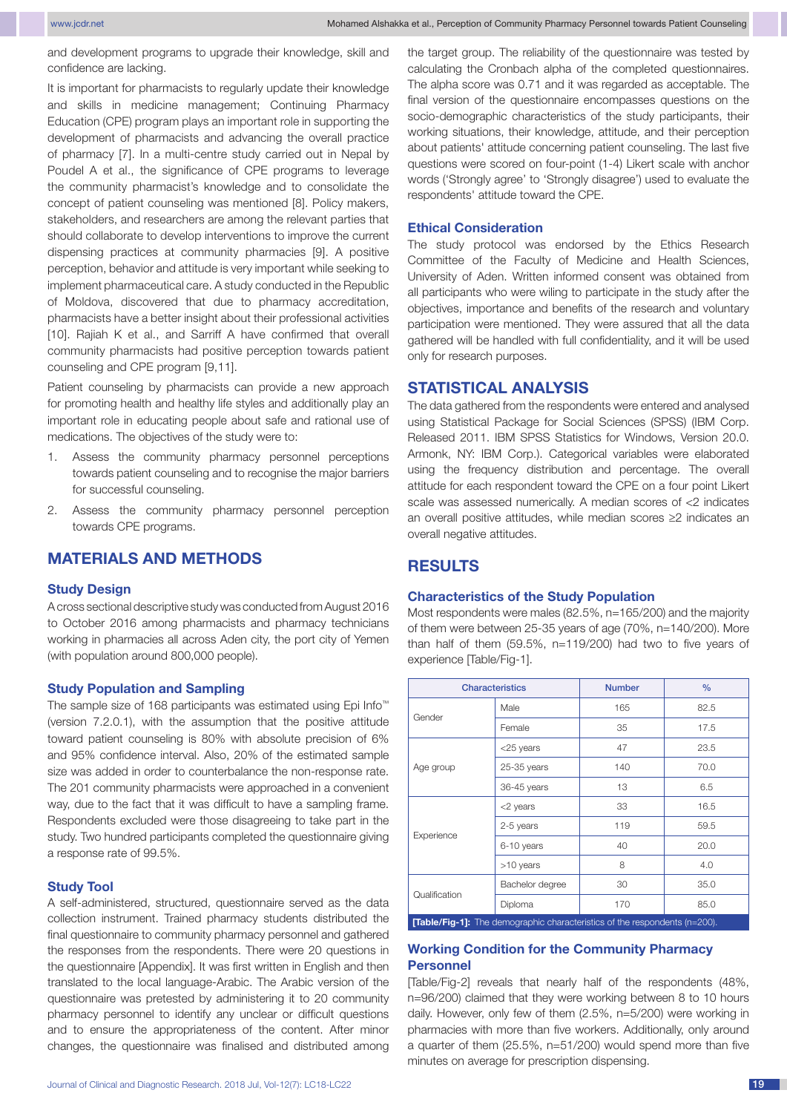and development programs to upgrade their knowledge, skill and confidence are lacking.

It is important for pharmacists to regularly update their knowledge and skills in medicine management; Continuing Pharmacy Education (CPE) program plays an important role in supporting the development of pharmacists and advancing the overall practice of pharmacy [7]. In a multi-centre study carried out in Nepal by Poudel A et al., the significance of CPE programs to leverage the community pharmacist's knowledge and to consolidate the concept of patient counseling was mentioned [8]. Policy makers, stakeholders, and researchers are among the relevant parties that should collaborate to develop interventions to improve the current dispensing practices at community pharmacies [9]. A positive perception, behavior and attitude is very important while seeking to implement pharmaceutical care. A study conducted in the Republic of Moldova, discovered that due to pharmacy accreditation, pharmacists have a better insight about their professional activities [10]. Rajiah K et al., and Sarriff A have confirmed that overall community pharmacists had positive perception towards patient counseling and CPE program [9,11].

Patient counseling by pharmacists can provide a new approach for promoting health and healthy life styles and additionally play an important role in educating people about safe and rational use of medications. The objectives of the study were to:

- 1. Assess the community pharmacy personnel perceptions towards patient counseling and to recognise the major barriers for successful counseling.
- 2. Assess the community pharmacy personnel perception towards CPE programs.

# **MATERIALS AND METHODS**

#### **Study Design**

A cross sectional descriptive study was conducted from August 2016 to October 2016 among pharmacists and pharmacy technicians working in pharmacies all across Aden city, the port city of Yemen (with population around 800,000 people).

### **Study Population and Sampling**

The sample size of 168 participants was estimated using Epi Info™ (version 7.2.0.1), with the assumption that the positive attitude toward patient counseling is 80% with absolute precision of 6% and 95% confidence interval. Also, 20% of the estimated sample size was added in order to counterbalance the non-response rate. The 201 community pharmacists were approached in a convenient way, due to the fact that it was difficult to have a sampling frame. Respondents excluded were those disagreeing to take part in the study. Two hundred participants completed the questionnaire giving a response rate of 99.5%.

### **Study Tool**

A self-administered, structured, questionnaire served as the data collection instrument. Trained pharmacy students distributed the final questionnaire to community pharmacy personnel and gathered the responses from the respondents. There were 20 questions in the questionnaire [Appendix]. It was first written in English and then translated to the local language-Arabic. The Arabic version of the questionnaire was pretested by administering it to 20 community pharmacy personnel to identify any unclear or difficult questions and to ensure the appropriateness of the content. After minor changes, the questionnaire was finalised and distributed among

the target group. The reliability of the questionnaire was tested by calculating the Cronbach alpha of the completed questionnaires. The alpha score was 0.71 and it was regarded as acceptable. The final version of the questionnaire encompasses questions on the socio-demographic characteristics of the study participants, their working situations, their knowledge, attitude, and their perception about patients' attitude concerning patient counseling. The last five questions were scored on four-point (1-4) Likert scale with anchor words ('Strongly agree' to 'Strongly disagree') used to evaluate the respondents' attitude toward the CPE.

### **Ethical Consideration**

The study protocol was endorsed by the Ethics Research Committee of the Faculty of Medicine and Health Sciences, University of Aden. Written informed consent was obtained from all participants who were wiling to participate in the study after the objectives, importance and benefits of the research and voluntary participation were mentioned. They were assured that all the data gathered will be handled with full confidentiality, and it will be used only for research purposes.

## **STATISTICAL ANALYSIS**

The data gathered from the respondents were entered and analysed using Statistical Package for Social Sciences (SPSS) (IBM Corp. Released 2011. IBM SPSS Statistics for Windows, Version 20.0. Armonk, NY: IBM Corp.). Categorical variables were elaborated using the frequency distribution and percentage. The overall attitude for each respondent toward the CPE on a four point Likert scale was assessed numerically. A median scores of <2 indicates an overall positive attitudes, while median scores ≥2 indicates an overall negative attitudes.

## **RESULTS**

#### **Characteristics of the Study Population**

Most respondents were males (82.5%, n=165/200) and the majority of them were between 25-35 years of age (70%, n=140/200). More than half of them (59.5%, n=119/200) had two to five years of experience [Table/Fig-1].

|                                                                                   | <b>Characteristics</b> | <b>Number</b> | $\frac{9}{6}$ |
|-----------------------------------------------------------------------------------|------------------------|---------------|---------------|
| Gender                                                                            | Male                   | 165           | 82.5          |
|                                                                                   | Female                 | 35            | 17.5          |
| Age group                                                                         | <25 years              | 47            | 23.5          |
|                                                                                   | 25-35 years            | 140           | 70.0          |
|                                                                                   | 36-45 years            | 13            | 6.5           |
| Experience                                                                        | <2 years               | 33            | 16.5          |
|                                                                                   | 2-5 years              | 119           | 59.5          |
|                                                                                   | 6-10 years             | 40            | 20.0          |
|                                                                                   | >10 years              | 8             | 4.0           |
| Qualification                                                                     | Bachelor degree        | 30            | 35.0          |
|                                                                                   | Diploma                | 170           | 85.0          |
| <b>[Table/Fig-1]:</b> The demographic characteristics of the respondents (n=200). |                        |               |               |

### **Working Condition for the Community Pharmacy Personnel**

[Table/Fig-2] reveals that nearly half of the respondents (48%, n=96/200) claimed that they were working between 8 to 10 hours daily. However, only few of them (2.5%, n=5/200) were working in pharmacies with more than five workers. Additionally, only around a quarter of them (25.5%, n=51/200) would spend more than five minutes on average for prescription dispensing.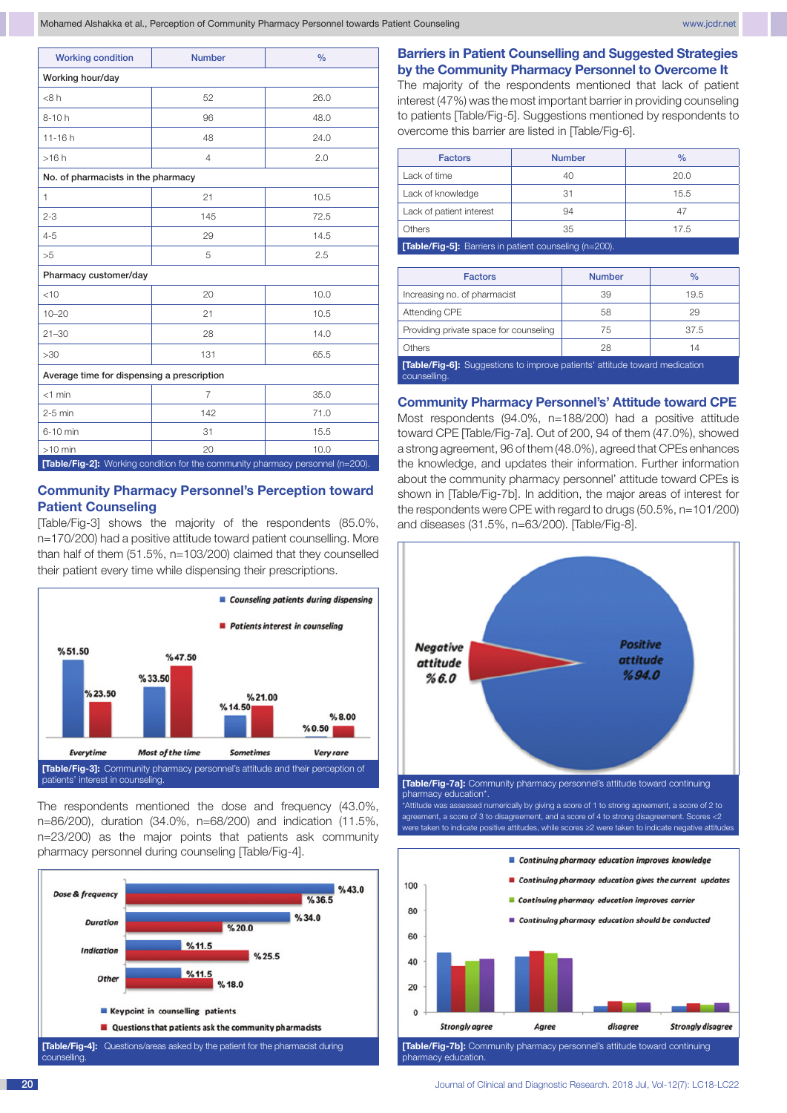Mohamed Alshakka et al., Perception of Community Pharmacy Personnel towards Patient Counseling www.jcdr.net www.jcdr.net

| <b>Working condition</b>                   | <b>Number</b>  | $\frac{0}{0}$ |  |  |
|--------------------------------------------|----------------|---------------|--|--|
| Working hour/day                           |                |               |  |  |
| <8 h                                       | 52             | 26.0          |  |  |
| $8 - 10h$                                  | 96             | 48.0          |  |  |
| $11 - 16h$                                 | 48             | 24.0          |  |  |
| >16h                                       | $\overline{4}$ | 2.0           |  |  |
| No. of pharmacists in the pharmacy         |                |               |  |  |
| $\mathbf{1}$                               | 21             | 10.5          |  |  |
| $2 - 3$                                    | 145            | 72.5          |  |  |
| $4 - 5$                                    | 29             | 14.5          |  |  |
| >5                                         | 5              | 2.5           |  |  |
| Pharmacy customer/day                      |                |               |  |  |
| $<$ 10                                     | 20             | 10.0          |  |  |
| $10 - 20$                                  | 21             | 10.5          |  |  |
| $21 - 30$                                  | 28             | 14.0          |  |  |
| >30                                        | 131            | 65.5          |  |  |
| Average time for dispensing a prescription |                |               |  |  |
| $<$ 1 min                                  | 7              | 35.0          |  |  |
| $2-5$ min                                  | 142            | 71.0          |  |  |
| 6-10 min                                   | 31             | 15.5          |  |  |
| $>10$ min                                  | 20             | 10.0          |  |  |

## **Community Pharmacy Personnel's Perception toward Patient Counseling**

[Table/Fig-3] shows the majority of the respondents (85.0%, n=170/200) had a positive attitude toward patient counselling. More than half of them (51.5%, n=103/200) claimed that they counselled their patient every time while dispensing their prescriptions.



The respondents mentioned the dose and frequency (43.0%, n=86/200), duration (34.0%, n=68/200) and indication (11.5%, n=23/200) as the major points that patients ask community pharmacy personnel during counseling [Table/Fig-4].



## **Barriers in Patient Counselling and Suggested Strategies by the Community Pharmacy Personnel to Overcome It**

The majority of the respondents mentioned that lack of patient interest (47%) was the most important barrier in providing counseling to patients [Table/Fig-5]. Suggestions mentioned by respondents to overcome this barrier are listed in [Table/Fig-6].

| <b>Factors</b>                                                                                                                                                                                                                                                                           | <b>Number</b> | $\frac{0}{0}$ |  |  |
|------------------------------------------------------------------------------------------------------------------------------------------------------------------------------------------------------------------------------------------------------------------------------------------|---------------|---------------|--|--|
| Lack of time                                                                                                                                                                                                                                                                             | 40            | 20.0          |  |  |
| Lack of knowledge                                                                                                                                                                                                                                                                        | 31            | 15.5          |  |  |
| Lack of patient interest                                                                                                                                                                                                                                                                 | 94            | 47            |  |  |
| Others                                                                                                                                                                                                                                                                                   | 35            | 17.5          |  |  |
| $\mathbf{r}$ , and $\mathbf{r}$ , and $\mathbf{r}$ , and $\mathbf{r}$ , and $\mathbf{r}$ , and $\mathbf{r}$ , and $\mathbf{r}$ , and $\mathbf{r}$ , and $\mathbf{r}$ , and $\mathbf{r}$ , and $\mathbf{r}$ , and $\mathbf{r}$ , and $\mathbf{r}$ , and $\mathbf{r}$ , and $\mathbf{r}$ , |               |               |  |  |

**able/Fig-5]:** Barriers in p

| <b>Factors</b>                                                                                   | <b>Number</b> | $\%$ |  |
|--------------------------------------------------------------------------------------------------|---------------|------|--|
| Increasing no. of pharmacist                                                                     | 39            | 19.5 |  |
| Attending CPE                                                                                    | 58            | 29   |  |
| Providing private space for counseling                                                           | 75            | 37.5 |  |
| Others                                                                                           | 28            | 14   |  |
| <b>Table/Fig-6]:</b> Suggestions to improve patients' attitude toward medication<br>counselling. |               |      |  |

### **Community Pharmacy Personnel's' Attitude toward CPE**

Most respondents (94.0%, n=188/200) had a positive attitude toward CPE [Table/Fig-7a]. Out of 200, 94 of them (47.0%), showed a strong agreement, 96 of them (48.0%), agreed that CPEs enhances the knowledge, and updates their information. Further information about the community pharmacy personnel' attitude toward CPEs is shown in [Table/Fig-7b]. In addition, the major areas of interest for the respondents were CPE with regard to drugs (50.5%, n=101/200) and diseases (31.5%, n=63/200). [Table/Fig-8].



pharmacy education\*.

\*Attitude was assessed numerically by giving a score of 1 to strong agreement, a score of 2 to agreement, a score of 3 to disagreement, and a score of 4 to strong disagreement. Scores <2 .<br>were taken to indicate positive attitudes, while scores ≥2 were taken to indicate negative attitud

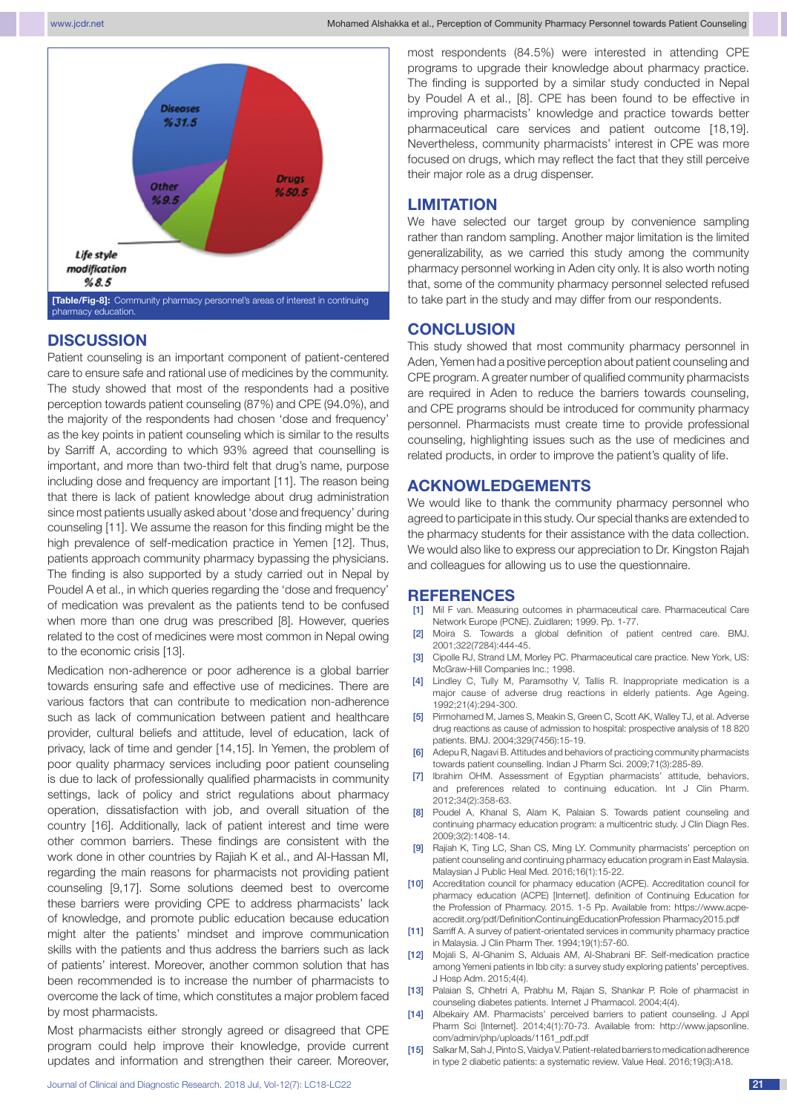

# **DISCUSSION**

Patient counseling is an important component of patient-centered care to ensure safe and rational use of medicines by the community. The study showed that most of the respondents had a positive perception towards patient counseling (87%) and CPE (94.0%), and the majority of the respondents had chosen 'dose and frequency' as the key points in patient counseling which is similar to the results by Sarriff A, according to which 93% agreed that counselling is important, and more than two-third felt that drug's name, purpose including dose and frequency are important [11]. The reason being that there is lack of patient knowledge about drug administration since most patients usually asked about 'dose and frequency' during counseling [11]. We assume the reason for this finding might be the high prevalence of self-medication practice in Yemen [12]. Thus, patients approach community pharmacy bypassing the physicians. The finding is also supported by a study carried out in Nepal by Poudel A et al., in which queries regarding the 'dose and frequency' of medication was prevalent as the patients tend to be confused when more than one drug was prescribed [8]. However, queries related to the cost of medicines were most common in Nepal owing to the economic crisis [13].

Medication non-adherence or poor adherence is a global barrier towards ensuring safe and effective use of medicines. There are various factors that can contribute to medication non-adherence such as lack of communication between patient and healthcare provider, cultural beliefs and attitude, level of education, lack of privacy, lack of time and gender [14,15]. In Yemen, the problem of poor quality pharmacy services including poor patient counseling is due to lack of professionally qualified pharmacists in community settings, lack of policy and strict regulations about pharmacy operation, dissatisfaction with job, and overall situation of the country [16]. Additionally, lack of patient interest and time were other common barriers. These findings are consistent with the work done in other countries by Rajiah K et al., and Al-Hassan MI, regarding the main reasons for pharmacists not providing patient counseling [9,17]. Some solutions deemed best to overcome these barriers were providing CPE to address pharmacists' lack of knowledge, and promote public education because education might alter the patients' mindset and improve communication skills with the patients and thus address the barriers such as lack of patients' interest. Moreover, another common solution that has been recommended is to increase the number of pharmacists to overcome the lack of time, which constitutes a major problem faced by most pharmacists.

Most pharmacists either strongly agreed or disagreed that CPE program could help improve their knowledge, provide current updates and information and strengthen their career. Moreover,

most respondents (84.5%) were interested in attending CPE programs to upgrade their knowledge about pharmacy practice. The finding is supported by a similar study conducted in Nepal by Poudel A et al., [8]. CPE has been found to be effective in improving pharmacists' knowledge and practice towards better pharmaceutical care services and patient outcome [18,19]. Nevertheless, community pharmacists' interest in CPE was more focused on drugs, which may reflect the fact that they still perceive their major role as a drug dispenser.

## **LIMITATION**

We have selected our target group by convenience sampling rather than random sampling. Another major limitation is the limited generalizability, as we carried this study among the community pharmacy personnel working in Aden city only. It is also worth noting that, some of the community pharmacy personnel selected refused to take part in the study and may differ from our respondents.

## **CONCLUSION**

This study showed that most community pharmacy personnel in Aden, Yemen had a positive perception about patient counseling and CPE program. A greater number of qualified community pharmacists are required in Aden to reduce the barriers towards counseling, and CPE programs should be introduced for community pharmacy personnel. Pharmacists must create time to provide professional counseling, highlighting issues such as the use of medicines and related products, in order to improve the patient's quality of life.

### **ACKNOWLEDGEMENTS**

We would like to thank the community pharmacy personnel who agreed to participate in this study. Our special thanks are extended to the pharmacy students for their assistance with the data collection. We would also like to express our appreciation to Dr. Kingston Rajah and colleagues for allowing us to use the questionnaire.

## **REFERENCES**

- [1] Mil F van. Measuring outcomes in pharmaceutical care. Pharmaceutical Care Network Europe (PCNE). Zuidlaren; 1999. Pp. 1-77.
- Moira S. Towards a global definition of patient centred care. BMJ. 2001;322(7284):444-45.
- [3] Cipolle RJ, Strand LM, Morley PC. Pharmaceutical care practice. New York, US: McGraw-Hill Companies Inc.; 1998.
- Lindley C, Tully M, Paramsothy V, Tallis R. Inappropriate medication is a major cause of adverse drug reactions in elderly patients. Age Ageing. 1992;21(4):294-300.
- [5] Pirmohamed M, James S, Meakin S, Green C, Scott AK, Walley TJ, et al. Adverse drug reactions as cause of admission to hospital: prospective analysis of 18 820 patients. BMJ. 2004;329(7456):15-19.
- Adepu R, Nagavi B. Attitudes and behaviors of practicing community pharmacists towards patient counselling. Indian J Pharm Sci. 2009;71(3):285-89.
- [7] Ibrahim OHM. Assessment of Egyptian pharmacists' attitude, behaviors, and preferences related to continuing education. Int J Clin Pharm. 2012;34(2):358-63.
- [8] Poudel A, Khanal S, Alam K, Palaian S. Towards patient counseling and continuing pharmacy education program: a multicentric study. J Clin Diagn Res. 2009;3(2):1408-14.
- [9] Rajiah K, Ting LC, Shan CS, Ming LY. Community pharmacists' perception on patient counseling and continuing pharmacy education program in East Malaysia. Malaysian J Public Heal Med. 2016;16(1):15-22.
- [10] Accreditation council for pharmacy education (ACPE). Accreditation council for pharmacy education (ACPE) [Internet]. definition of Continuing Education for the Profession of Pharmacy. 2015. 1-5 Pp. Available from: https://www.acpeaccredit.org/pdf/DefinitionContinuingEducationProfession Pharmacy2015.pdf
- [11] Sarriff A. A survey of patient-orientated services in community pharmacy practice in Malaysia. J Clin Pharm Ther. 1994;19(1):57-60.
- [12] Mojali S, Al-Ghanim S, Alduais AM, Al-Shabrani BF. Self-medication practice among Yemeni patients in Ibb city: a survey study exploring patients' perceptives. J Hosp Adm. 2015;4(4).
- [13] Palaian S, Chhetri A, Prabhu M, Rajan S, Shankar P. Role of pharmacist in counseling diabetes patients. Internet J Pharmacol. 2004;4(4).
- [14] Albekairy AM. Pharmacists' perceived barriers to patient counseling. J Appl Pharm Sci [Internet]. 2014;4(1):70-73. Available from: http://www.japsonline. com/admin/php/uploads/1161\_pdf.pdf
- [15] Salkar M, Sah J, Pinto S, Vaidya V. Patient-related barriers to medication adherence in type 2 diabetic patients: a systematic review. Value Heal. 2016;19(3):A18.